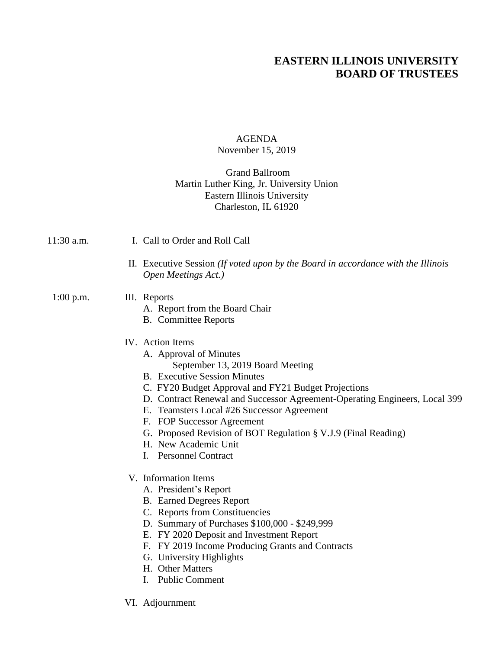# **EASTERN ILLINOIS UNIVERSITY BOARD OF TRUSTEES**

#### AGENDA November 15, 2019

### Grand Ballroom Martin Luther King, Jr. University Union Eastern Illinois University Charleston, IL 61920

- II. Executive Session *(If voted upon by the Board in accordance with the Illinois Open Meetings Act.)* 1:00 p.m. III. Reports A. Report from the Board Chair B. Committee Reports
	- IV. Action Items

11:30 a.m. I. Call to Order and Roll Call

- A. Approval of Minutes
	- September 13, 2019 Board Meeting
- B. Executive Session Minutes
- C. FY20 Budget Approval and FY21 Budget Projections
- D. Contract Renewal and Successor Agreement-Operating Engineers, Local 399
- E. Teamsters Local #26 Successor Agreement
- F. FOP Successor Agreement
- G. Proposed Revision of BOT Regulation § V.J.9 (Final Reading)
- H. New Academic Unit
- I. Personnel Contract
- V. Information Items
	- A. President's Report
	- B. Earned Degrees Report
	- C. Reports from Constituencies
	- D. Summary of Purchases \$100,000 \$249,999
	- E. FY 2020 Deposit and Investment Report
	- F. FY 2019 Income Producing Grants and Contracts
	- G. University Highlights
	- H. Other Matters
	- I. Public Comment
- VI. Adjournment